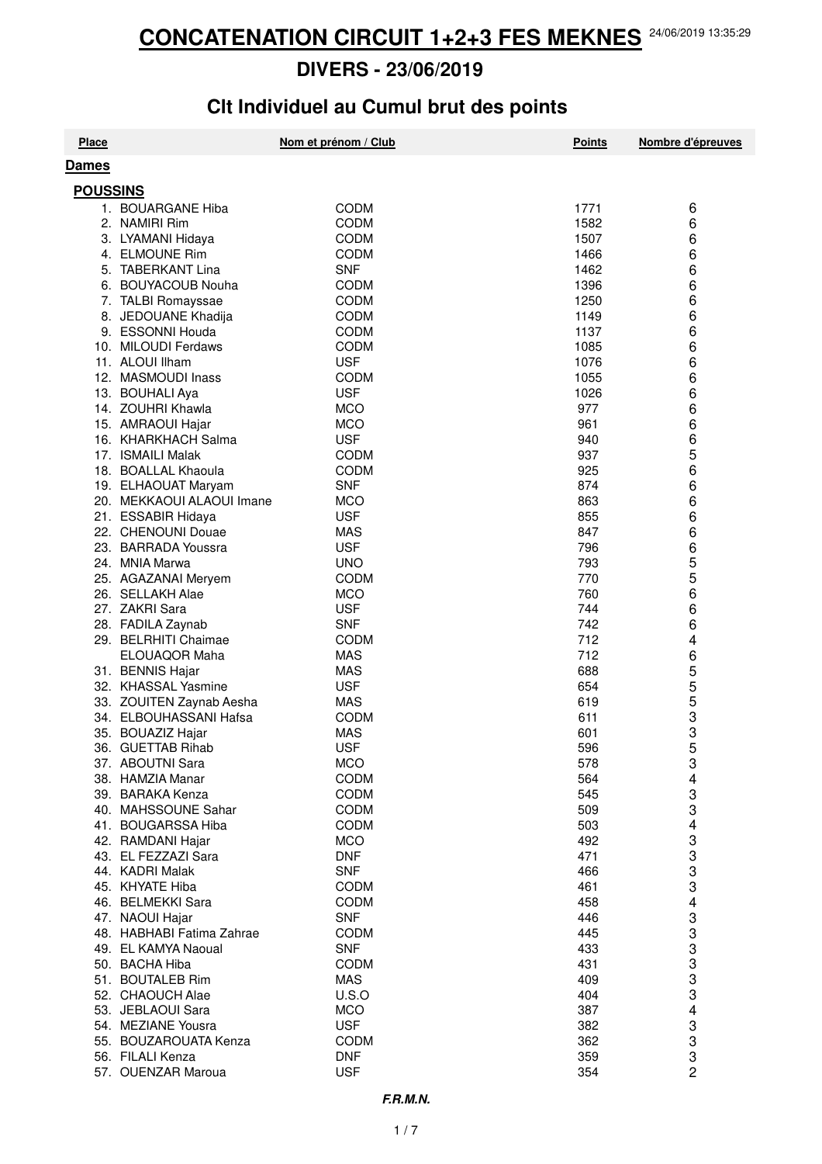# **Clt Individuel au Cumul brut des points**

| <b>Place</b> |                                             | Nom et prénom / Club      | <b>Points</b> | Nombre d'épreuves |  |  |  |
|--------------|---------------------------------------------|---------------------------|---------------|-------------------|--|--|--|
| <b>Dames</b> |                                             |                           |               |                   |  |  |  |
|              | <b>POUSSINS</b>                             |                           |               |                   |  |  |  |
|              | 1. BOUARGANE Hiba                           | <b>CODM</b>               | 1771          |                   |  |  |  |
|              | 2. NAMIRI Rim                               | <b>CODM</b>               | 1582          | 6<br>6            |  |  |  |
|              |                                             | <b>CODM</b>               | 1507          | 6                 |  |  |  |
|              | 3. LYAMANI Hidaya<br>4. ELMOUNE Rim         | <b>CODM</b>               | 1466          | 6                 |  |  |  |
|              | 5. TABERKANT Lina                           | <b>SNF</b>                | 1462          | 6                 |  |  |  |
|              | 6. BOUYACOUB Nouha                          | <b>CODM</b>               | 1396          | 6                 |  |  |  |
|              | 7. TALBI Romayssae                          | <b>CODM</b>               | 1250          | 6                 |  |  |  |
|              | 8. JEDOUANE Khadija                         | <b>CODM</b>               | 1149          | 6                 |  |  |  |
|              | 9. ESSONNI Houda                            | <b>CODM</b>               | 1137          | 6                 |  |  |  |
|              | 10. MILOUDI Ferdaws                         | <b>CODM</b>               | 1085          | 6                 |  |  |  |
|              | 11. ALOUI Ilham                             | <b>USF</b>                | 1076          | 6                 |  |  |  |
|              | 12. MASMOUDI Inass                          | <b>CODM</b>               | 1055          | 6                 |  |  |  |
|              | 13. BOUHALI Aya                             | <b>USF</b>                | 1026          | 6                 |  |  |  |
|              | 14. ZOUHRI Khawla                           | <b>MCO</b>                | 977           | 6                 |  |  |  |
|              | 15. AMRAOUI Hajar                           | <b>MCO</b>                | 961           | 6                 |  |  |  |
|              | 16. KHARKHACH Salma                         | <b>USF</b>                | 940           | 6                 |  |  |  |
|              | 17. ISMAILI Malak                           | CODM                      | 937           | 5                 |  |  |  |
|              | 18. BOALLAL Khaoula                         | <b>CODM</b>               | 925           | 6                 |  |  |  |
|              | 19. ELHAOUAT Maryam                         | <b>SNF</b>                | 874           | 6                 |  |  |  |
|              | 20. MEKKAOUI ALAOUI Imane                   | <b>MCO</b>                | 863           | 6                 |  |  |  |
|              | 21. ESSABIR Hidaya                          | <b>USF</b>                | 855           | 6                 |  |  |  |
|              | 22. CHENOUNI Douae                          | <b>MAS</b>                | 847           | 6                 |  |  |  |
|              | 23. BARRADA Youssra                         | <b>USF</b>                | 796           | 6                 |  |  |  |
|              | 24. MNIA Marwa                              | <b>UNO</b>                | 793           | 5                 |  |  |  |
|              | 25. AGAZANAI Meryem                         | <b>CODM</b>               | 770           | 5                 |  |  |  |
|              | 26. SELLAKH Alae                            | <b>MCO</b>                | 760           | 6                 |  |  |  |
|              | 27. ZAKRI Sara                              | <b>USF</b>                | 744           | 6                 |  |  |  |
|              | 28. FADILA Zaynab                           | <b>SNF</b>                | 742           | 6                 |  |  |  |
|              | 29. BELRHITI Chaimae                        | <b>CODM</b>               | 712           | 4                 |  |  |  |
|              | ELOUAQOR Maha                               | <b>MAS</b>                | 712           | 6                 |  |  |  |
|              | 31. BENNIS Hajar<br>32. KHASSAL Yasmine     | <b>MAS</b><br><b>USF</b>  | 688<br>654    | 5<br>5            |  |  |  |
|              | 33. ZOUITEN Zaynab Aesha                    | <b>MAS</b>                | 619           | 5                 |  |  |  |
|              | 34. ELBOUHASSANI Hafsa                      | <b>CODM</b>               | 611           | 3                 |  |  |  |
|              | 35. BOUAZIZ Hajar                           | <b>MAS</b>                | 601           | 3                 |  |  |  |
|              | 36. GUETTAB Rihab                           | <b>USF</b>                | 596           |                   |  |  |  |
|              | 37. ABOUTNI Sara                            | <b>MCO</b>                | 578           | 3                 |  |  |  |
|              | 38. HAMZIA Manar                            | CODM                      | 564           | 4                 |  |  |  |
|              | 39. BARAKA Kenza                            | <b>CODM</b>               | 545           |                   |  |  |  |
|              | 40. MAHSSOUNE Sahar                         | <b>CODM</b>               | 509           | 3<br>3            |  |  |  |
|              | 41. BOUGARSSA Hiba                          | <b>CODM</b>               | 503           | 4                 |  |  |  |
|              | 42. RAMDANI Hajar                           | <b>MCO</b>                | 492           | 3                 |  |  |  |
|              | 43. EL FEZZAZI Sara                         | <b>DNF</b>                | 471           |                   |  |  |  |
|              | 44. KADRI Malak                             | <b>SNF</b>                | 466           | З<br>З            |  |  |  |
|              | 45. KHYATE Hiba                             | <b>CODM</b>               | 461           | 3                 |  |  |  |
|              | 46. BELMEKKI Sara                           | <b>CODM</b>               | 458           | 4                 |  |  |  |
|              | 47. NAOUI Hajar                             | <b>SNF</b>                | 446           | 3                 |  |  |  |
|              | 48. HABHABI Fatima Zahrae                   | <b>CODM</b>               | 445           | 3                 |  |  |  |
|              | 49. EL KAMYA Naoual                         | <b>SNF</b>                | 433           | 3                 |  |  |  |
|              | 50. BACHA Hiba                              | <b>CODM</b>               | 431           | 3                 |  |  |  |
|              | 51. BOUTALEB Rim                            | <b>MAS</b>                | 409           | 3                 |  |  |  |
|              | 52. CHAOUCH Alae                            | U.S.O                     | 404           | 3                 |  |  |  |
|              | 53. JEBLAOUI Sara                           | <b>MCO</b>                | 387           | 4                 |  |  |  |
|              | 54. MEZIANE Yousra<br>55. BOUZAROUATA Kenza | <b>USF</b><br><b>CODM</b> | 382<br>362    | 3<br>3            |  |  |  |
|              | 56. FILALI Kenza                            | <b>DNF</b>                | 359           | 3                 |  |  |  |
|              | 57. OUENZAR Maroua                          | <b>USF</b>                | 354           | 2                 |  |  |  |
|              |                                             |                           |               |                   |  |  |  |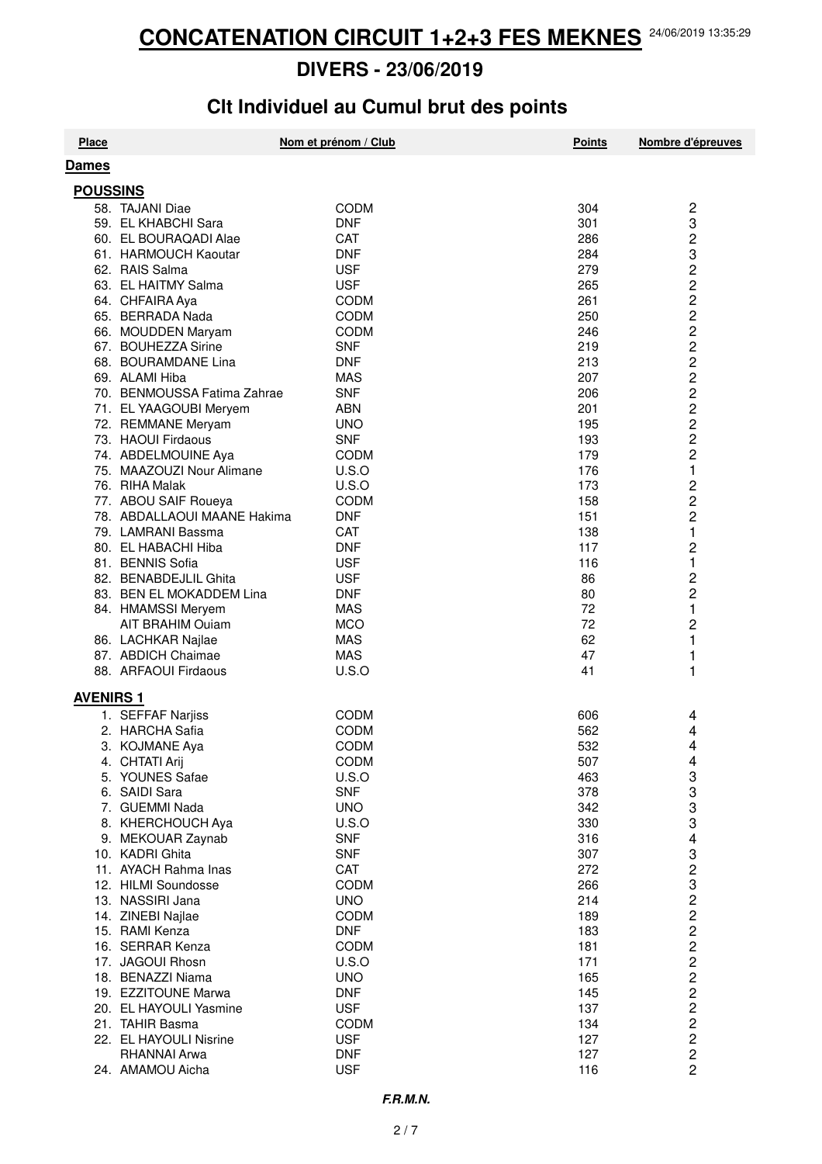# **Clt Individuel au Cumul brut des points**

| <b>Place</b>     |                                                       | Nom et prénom / Club       | <b>Points</b> | Nombre d'épreuves       |
|------------------|-------------------------------------------------------|----------------------------|---------------|-------------------------|
| <b>Dames</b>     |                                                       |                            |               |                         |
|                  |                                                       |                            |               |                         |
| <b>POUSSINS</b>  | 58. TAJANI Diae                                       | CODM                       | 304           |                         |
|                  |                                                       | <b>DNF</b>                 | 301           | 2<br>3                  |
|                  | 59. EL KHABCHI Sara<br>60. EL BOURAQADI Alae          | <b>CAT</b>                 | 286           |                         |
|                  |                                                       |                            |               | $\overline{c}$          |
|                  | 61. HARMOUCH Kaoutar<br>62. RAIS Salma                | <b>DNF</b><br><b>USF</b>   | 284<br>279    | 3<br>$\overline{c}$     |
|                  |                                                       | <b>USF</b>                 |               |                         |
|                  | 63. EL HAITMY Salma<br>64. CHFAIRA Aya                |                            | 265<br>261    | $\overline{c}$          |
|                  |                                                       | <b>CODM</b>                |               | $\overline{\mathbf{c}}$ |
|                  | 65. BERRADA Nada                                      | <b>CODM</b><br><b>CODM</b> | 250           | $\frac{2}{2}$           |
|                  | 66. MOUDDEN Maryam                                    | <b>SNF</b>                 | 246<br>219    | $\overline{c}$          |
|                  | 67. BOUHEZZA Sirine                                   |                            | 213           | $\overline{c}$          |
|                  | 68. BOURAMDANE Lina<br>69. ALAMI Hiba                 | <b>DNF</b>                 | 207           |                         |
|                  |                                                       | <b>MAS</b>                 | 206           | $\frac{1}{2}$           |
|                  | 70. BENMOUSSA Fatima Zahrae<br>71. EL YAAGOUBI Meryem | <b>SNF</b><br><b>ABN</b>   | 201           | $\overline{c}$          |
|                  | 72. REMMANE Meryam                                    | <b>UNO</b>                 | 195           | $\overline{c}$          |
|                  | 73. HAOUI Firdaous                                    | <b>SNF</b>                 | 193           | $\overline{c}$          |
|                  | 74. ABDELMOUINE Aya                                   | <b>CODM</b>                | 179           | $\overline{c}$          |
|                  | 75. MAAZOUZI Nour Alimane                             | U.S.O                      | 176           | 1                       |
|                  | 76. RIHA Malak                                        | U.S.O                      | 173           | $\overline{c}$          |
|                  | 77. ABOU SAIF Roueya                                  | <b>CODM</b>                | 158           | $\overline{\mathbf{c}}$ |
|                  | 78. ABDALLAOUI MAANE Hakima                           | <b>DNF</b>                 | 151           | $\overline{c}$          |
|                  | 79. LAMRANI Bassma                                    | CAT                        | 138           | 1                       |
|                  | 80. EL HABACHI Hiba                                   | <b>DNF</b>                 | 117           | $\overline{c}$          |
|                  | 81. BENNIS Sofia                                      | <b>USF</b>                 | 116           | $\mathbf{1}$            |
|                  | 82. BENABDEJLIL Ghita                                 | <b>USF</b>                 | 86            | $\overline{\mathbf{c}}$ |
|                  | 83. BEN EL MOKADDEM Lina                              | <b>DNF</b>                 | 80            | $\overline{c}$          |
|                  | 84. HMAMSSI Meryem                                    | <b>MAS</b>                 | 72            | 1                       |
|                  | AIT BRAHIM Ouiam                                      | <b>MCO</b>                 | 72            | $\overline{c}$          |
|                  | 86. LACHKAR Najlae                                    | <b>MAS</b>                 | 62            | 1                       |
|                  | 87. ABDICH Chaimae                                    | <b>MAS</b>                 | 47            | 1                       |
|                  | 88. ARFAOUI Firdaous                                  | U.S.O                      | 41            | 1                       |
|                  |                                                       |                            |               |                         |
| <b>AVENIRS 1</b> |                                                       |                            |               |                         |
|                  | 1. SEFFAF Narjiss                                     | <b>CODM</b>                | 606           | 4                       |
|                  | 2. HARCHA Safia                                       | <b>CODM</b>                | 562           | 4                       |
|                  | 3. KOJMANE Aya                                        | <b>CODM</b>                | 532           | 4                       |
|                  | 4. CHTATI Arij                                        | <b>CODM</b>                | 507           | 4                       |
|                  | 5. YOUNES Safae                                       | U.S.O                      | 463           | 3<br>3<br>3             |
|                  | 6. SAIDI Sara                                         | <b>SNF</b>                 | 378           |                         |
|                  | 7. GUEMMI Nada                                        | <b>UNO</b>                 | 342           |                         |
|                  | 8. KHERCHOUCH Aya                                     | U.S.O                      | 330           | 3                       |
|                  | 9. MEKOUAR Zaynab                                     | <b>SNF</b>                 | 316           | 4                       |
|                  | 10. KADRI Ghita                                       | <b>SNF</b>                 | 307           |                         |
|                  | 11. AYACH Rahma Inas                                  | CAT                        | 272           |                         |
|                  | 12. HILMI Soundosse                                   | <b>CODM</b>                | 266           |                         |
|                  | 13. NASSIRI Jana                                      | <b>UNO</b>                 | 214           |                         |
|                  | 14. ZINEBI Najlae                                     | <b>CODM</b>                | 189           |                         |
|                  | 15. RAMI Kenza                                        | <b>DNF</b>                 | 183           |                         |
|                  | 16. SERRAR Kenza                                      | <b>CODM</b>                | 181           | 3232222                 |
|                  | 17. JAGOUI Rhosn                                      | U.S.O                      | 171           |                         |
|                  | 18. BENAZZI Niama                                     | <b>UNO</b>                 | 165           | $\overline{c}$          |
|                  | 19. EZZITOUNE Marwa                                   | <b>DNF</b>                 | 145           |                         |
|                  | 20. EL HAYOULI Yasmine                                | <b>USF</b>                 | 137           | $222$<br>$22$           |
|                  | 21. TAHIR Basma                                       | <b>CODM</b>                | 134           |                         |
|                  | 22. EL HAYOULI Nisrine                                | <b>USF</b>                 | 127           |                         |
|                  | RHANNAI Arwa                                          | <b>DNF</b>                 | 127           | $\overline{c}$          |
|                  | 24. AMAMOU Aicha                                      | <b>USF</b>                 | 116           | $\overline{2}$          |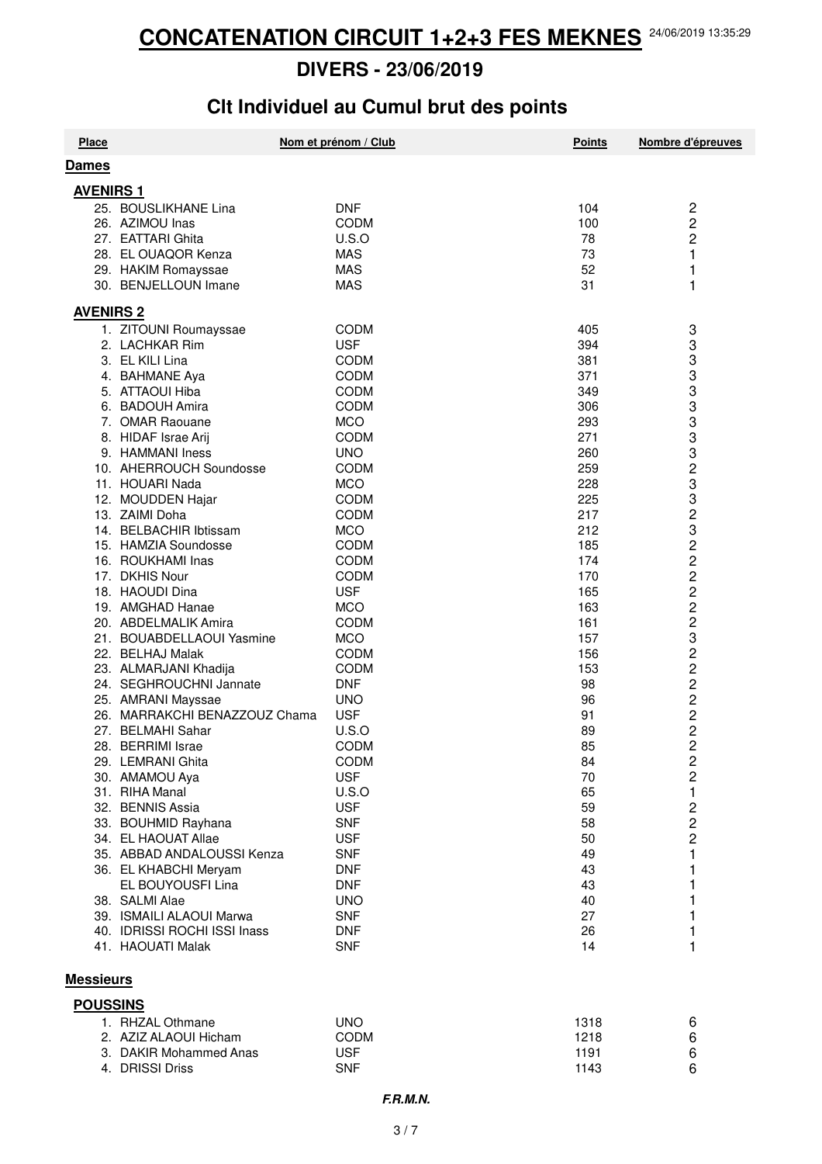# **Clt Individuel au Cumul brut des points**

| <b>Place</b>     |                                                    | Nom et prénom / Club | <b>Points</b> | Nombre d'épreuves                |  |
|------------------|----------------------------------------------------|----------------------|---------------|----------------------------------|--|
| <b>Dames</b>     |                                                    |                      |               |                                  |  |
| <b>AVENIRS 1</b> |                                                    |                      |               |                                  |  |
|                  | 25. BOUSLIKHANE Lina                               | <b>DNF</b>           | 104           | 2                                |  |
|                  | 26. AZIMOU Inas                                    | <b>CODM</b>          | 100           | $\overline{\mathbf{c}}$          |  |
|                  | 27. EATTARI Ghita                                  | U.S.O                | 78            | $\overline{c}$                   |  |
|                  | 28. EL OUAQOR Kenza                                | <b>MAS</b>           | 73            | $\mathbf{1}$                     |  |
|                  | 29. HAKIM Romayssae                                | <b>MAS</b>           | 52            | 1                                |  |
|                  | 30. BENJELLOUN Imane                               | <b>MAS</b>           | 31            | 1                                |  |
| <b>AVENIRS 2</b> |                                                    |                      |               |                                  |  |
|                  | 1. ZITOUNI Roumayssae                              | <b>CODM</b>          | 405           | 3                                |  |
|                  | 2. LACHKAR Rim                                     | <b>USF</b>           | 394           | 3                                |  |
|                  | 3. EL KILI Lina                                    | <b>CODM</b>          | 381           | 3                                |  |
|                  | 4. BAHMANE Aya                                     | <b>CODM</b>          | 371           | 3                                |  |
|                  | 5. ATTAOUI Hiba                                    | <b>CODM</b>          | 349           | 3                                |  |
|                  | 6. BADOUH Amira                                    | <b>CODM</b>          | 306           | 3                                |  |
|                  | 7. OMAR Raouane                                    | <b>MCO</b>           | 293           | 3                                |  |
|                  | 8. HIDAF Israe Arij                                | <b>CODM</b>          | 271           | 3                                |  |
|                  | 9. HAMMANI Iness                                   | <b>UNO</b>           | 260           | 3                                |  |
|                  | 10. AHERROUCH Soundosse                            | <b>CODM</b>          | 259           | $\frac{2}{3}$                    |  |
|                  | 11. HOUARI Nada                                    | <b>MCO</b>           | 228           |                                  |  |
|                  | 12. MOUDDEN Hajar                                  | <b>CODM</b>          | 225           | 3                                |  |
|                  | 13. ZAIMI Doha                                     | <b>CODM</b>          | 217           | 2322223                          |  |
|                  | 14. BELBACHIR Ibtissam                             | <b>MCO</b>           | 212           |                                  |  |
|                  | 15. HAMZIA Soundosse                               | <b>CODM</b>          | 185           |                                  |  |
|                  | 16. ROUKHAMI Inas                                  | <b>CODM</b>          | 174           |                                  |  |
|                  | 17. DKHIS Nour                                     | <b>CODM</b>          | 170           |                                  |  |
|                  | 18. HAOUDI Dina                                    | <b>USF</b>           | 165           |                                  |  |
|                  | 19. AMGHAD Hanae                                   | <b>MCO</b>           | 163           |                                  |  |
|                  | 20. ABDELMALIK Amira                               | <b>CODM</b>          | 161           |                                  |  |
|                  | 21. BOUABDELLAOUI Yasmine                          | <b>MCO</b>           | 157           |                                  |  |
|                  | 22. BELHAJ Malak                                   | <b>CODM</b>          | 156           | $\overline{c}$                   |  |
|                  | 23. ALMARJANI Khadija                              | <b>CODM</b>          | 153           | $\overline{c}$                   |  |
|                  | 24. SEGHROUCHNI Jannate                            | <b>DNF</b>           | 98            | $\overline{\mathbf{c}}$          |  |
|                  | 25. AMRANI Mayssae                                 | <b>UNO</b>           | 96            | $\overline{\mathbf{c}}$          |  |
|                  | 26. MARRAKCHI BENAZZOUZ Chama<br>27. BELMAHI Sahar | <b>USF</b>           | 91            | $\overline{c}$<br>$\overline{c}$ |  |
|                  | 28. BERRIMI Israe                                  | U.S.O<br><b>CODM</b> | 89<br>85      | $\overline{c}$                   |  |
|                  | 29. LEMRANI Ghita                                  | CODM                 | 84            | $\overline{\mathbf{c}}$          |  |
|                  | 30. AMAMOU Aya                                     | <b>USF</b>           | 70            | 2                                |  |
|                  | 31. RIHA Manal                                     | U.S.O                | 65            | 1                                |  |
|                  | 32. BENNIS Assia                                   | <b>USF</b>           | 59            | 2                                |  |
|                  | 33. BOUHMID Rayhana                                | <b>SNF</b>           | 58            | $\overline{c}$                   |  |
|                  | 34. EL HAOUAT Allae                                | <b>USF</b>           | 50            | 2                                |  |
|                  | 35. ABBAD ANDALOUSSI Kenza                         | <b>SNF</b>           | 49            | 1                                |  |
|                  | 36. EL KHABCHI Meryam                              | <b>DNF</b>           | 43            | 1                                |  |
|                  | EL BOUYOUSFI Lina                                  | <b>DNF</b>           | 43            | 1                                |  |
|                  | 38. SALMI Alae                                     | <b>UNO</b>           | 40            | 1                                |  |
|                  | 39. ISMAILI ALAOUI Marwa                           | <b>SNF</b>           | 27            | 1                                |  |
|                  | 40. IDRISSI ROCHI ISSI Inass                       | <b>DNF</b>           | 26            | 1                                |  |
|                  | 41. HAOUATI Malak                                  | <b>SNF</b>           | 14            | 1                                |  |
|                  |                                                    |                      |               |                                  |  |
|                  | <b>Messieurs</b>                                   |                      |               |                                  |  |
| <b>POUSSINS</b>  |                                                    |                      |               |                                  |  |

| 1. RHZAL Othmane       | UNO         | 1318 | 6 |
|------------------------|-------------|------|---|
| 2. AZIZ ALAOUI Hicham  | <b>CODM</b> | 1218 | 6 |
| 3. DAKIR Mohammed Anas | <b>USF</b>  | 1191 | 6 |
| 4. DRISSI Driss        | <b>SNF</b>  | 1143 | 6 |
|                        |             |      |   |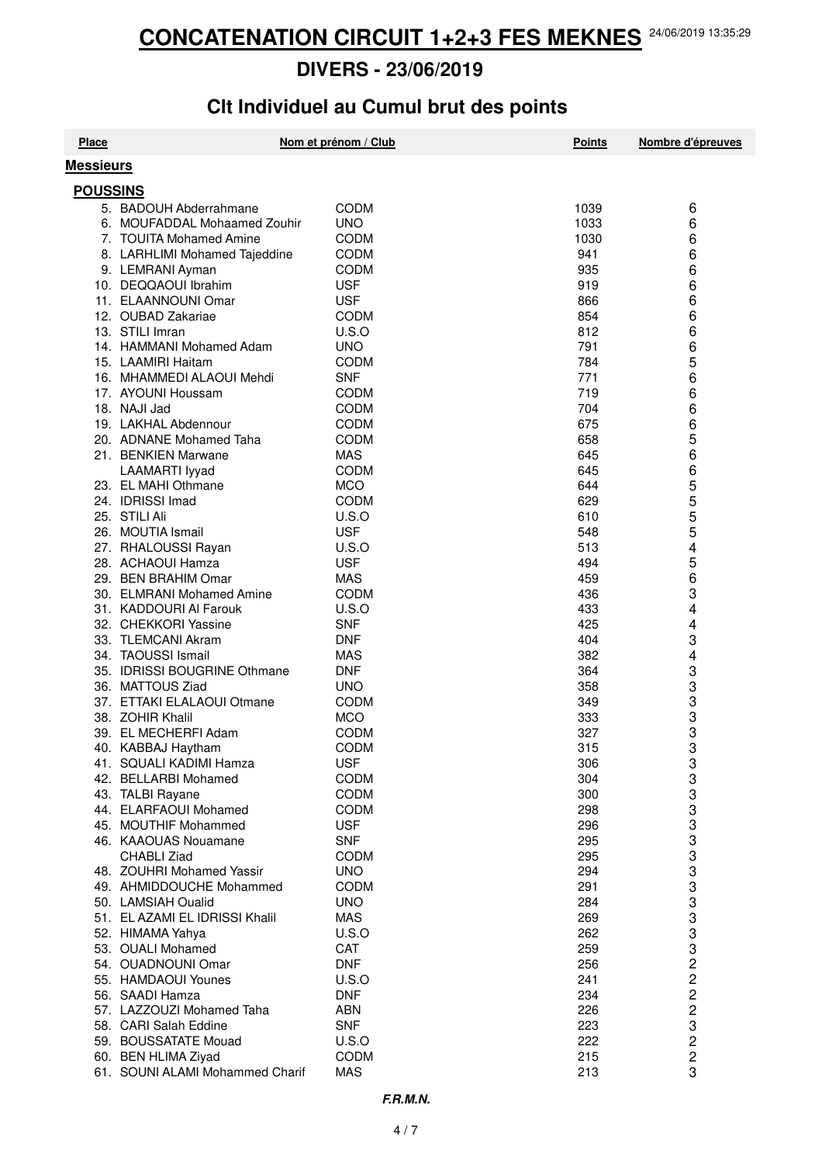# **Clt Individuel au Cumul brut des points**

| <b>Place</b>     |                                                    | Nom et prénom / Club     | <b>Points</b> | Nombre d'épreuves       |
|------------------|----------------------------------------------------|--------------------------|---------------|-------------------------|
| <b>Messieurs</b> |                                                    |                          |               |                         |
| <b>POUSSINS</b>  |                                                    |                          |               |                         |
|                  | 5. BADOUH Abderrahmane                             | CODM                     | 1039          | 6                       |
|                  | 6. MOUFADDAL Mohaamed Zouhir                       | <b>UNO</b>               | 1033          | 6                       |
|                  | 7. TOUITA Mohamed Amine                            | <b>CODM</b>              | 1030          | 6                       |
|                  | 8. LARHLIMI Mohamed Tajeddine                      | <b>CODM</b>              | 941           | 6                       |
|                  | 9. LEMRANI Ayman                                   | <b>CODM</b>              | 935           | 6                       |
|                  | 10. DEQQAOUI Ibrahim                               | <b>USF</b>               | 919           | 6                       |
|                  | 11. ELAANNOUNI Omar                                | <b>USF</b>               | 866           | 6                       |
|                  | 12. OUBAD Zakariae                                 | <b>CODM</b>              | 854           | 6                       |
|                  | 13. STILI Imran                                    | U.S.O                    | 812           | 6                       |
|                  | 14. HAMMANI Mohamed Adam                           | <b>UNO</b>               | 791           | 6                       |
|                  | 15. LAAMIRI Haitam                                 | <b>CODM</b>              | 784           | 5                       |
|                  | 16. MHAMMEDI ALAOUI Mehdi                          | <b>SNF</b>               | 771           | 6                       |
|                  | 17. AYOUNI Houssam                                 | <b>CODM</b>              | 719           | 6                       |
|                  | 18. NAJI Jad                                       | <b>CODM</b>              | 704           | 6                       |
|                  | 19. LAKHAL Abdennour                               | <b>CODM</b>              | 675           | 6                       |
|                  | 20. ADNANE Mohamed Taha                            | <b>CODM</b>              | 658           | 5                       |
|                  | 21. BENKIEN Marwane                                | <b>MAS</b>               | 645           | 6                       |
|                  | LAAMARTI lyyad                                     | <b>CODM</b>              | 645           | 6                       |
|                  | 23. EL MAHI Othmane                                | <b>MCO</b>               | 644           | 5                       |
|                  | 24. IDRISSI Imad                                   | CODM                     | 629           | 5                       |
|                  | 25. STILI Ali                                      | U.S.O                    | 610           | 5<br>5                  |
|                  | 26. MOUTIA Ismail                                  | <b>USF</b>               | 548           |                         |
|                  | 27. RHALOUSSI Rayan                                | U.S.O                    | 513           | 4                       |
|                  | 28. ACHAOUI Hamza                                  | <b>USF</b>               | 494           | 5                       |
|                  | 29. BEN BRAHIM Omar                                | <b>MAS</b>               | 459           | 6                       |
|                  | 30. ELMRANI Mohamed Amine                          | <b>CODM</b>              | 436           | 3                       |
|                  | 31. KADDOURI AI Farouk                             | U.S.O                    | 433           | 4                       |
|                  | 32. CHEKKORI Yassine                               | <b>SNF</b>               | 425           | 4                       |
|                  | 33. TLEMCANI Akram                                 | <b>DNF</b>               | 404           | 3                       |
|                  | 34. TAOUSSI Ismail<br>35. IDRISSI BOUGRINE Othmane | <b>MAS</b><br><b>DNF</b> | 382<br>364    | 4<br>3                  |
|                  | 36. MATTOUS Ziad                                   | <b>UNO</b>               | 358           | 3                       |
|                  | 37. ETTAKI ELALAOUI Otmane                         | <b>CODM</b>              | 349           | 3                       |
|                  | 38. ZOHIR Khalil                                   | <b>MCO</b>               | 333           | 3                       |
|                  | 39. EL MECHERFI Adam                               | <b>CODM</b>              | 327           | 3                       |
|                  | 40. KABBAJ Haytham                                 | <b>CODM</b>              | 315           | 3                       |
|                  | 41. SQUALI KADIMI Hamza                            | <b>USF</b>               | 306           | 3                       |
|                  | 42. BELLARBI Mohamed                               | <b>CODM</b>              | 304           | 3                       |
|                  | 43. TALBI Rayane                                   | <b>CODM</b>              | 300           | 3                       |
|                  | 44. ELARFAOUI Mohamed                              | <b>CODM</b>              | 298           | 3                       |
|                  | 45. MOUTHIF Mohammed                               | <b>USF</b>               | 296           | 3                       |
|                  | 46. KAAOUAS Nouamane                               | <b>SNF</b>               | 295           | 3                       |
|                  | CHABLI Ziad                                        | <b>CODM</b>              | 295           | 3                       |
|                  | 48. ZOUHRI Mohamed Yassir                          | <b>UNO</b>               | 294           | 3                       |
|                  | 49. AHMIDDOUCHE Mohammed                           | <b>CODM</b>              | 291           | 3                       |
|                  | 50. LAMSIAH Oualid                                 | <b>UNO</b>               | 284           | 3                       |
|                  | 51. EL AZAMI EL IDRISSI Khalil                     | <b>MAS</b>               | 269           | 3                       |
|                  | 52. HIMAMA Yahya                                   | U.S.O                    | 262           | 3                       |
|                  | 53. OUALI Mohamed                                  | CAT                      | 259           | 3                       |
|                  | 54. OUADNOUNI Omar                                 | <b>DNF</b>               | 256           | $\overline{c}$          |
|                  | 55. HAMDAOUI Younes                                | U.S.O                    | 241           | 2                       |
|                  | 56. SAADI Hamza<br>57. LAZZOUZI Mohamed Taha       | <b>DNF</b><br><b>ABN</b> | 234<br>226    | 2<br>$\overline{c}$     |
|                  | 58. CARI Salah Eddine                              | <b>SNF</b>               | 223           | 3                       |
|                  | 59. BOUSSATATE Mouad                               | U.S.O                    | 222           | $\overline{\mathbf{c}}$ |
|                  | 60. BEN HLIMA Ziyad                                | <b>CODM</b>              | 215           | $\overline{\mathbf{c}}$ |
|                  | 61. SOUNI ALAMI Mohammed Charif                    | <b>MAS</b>               | 213           | 3                       |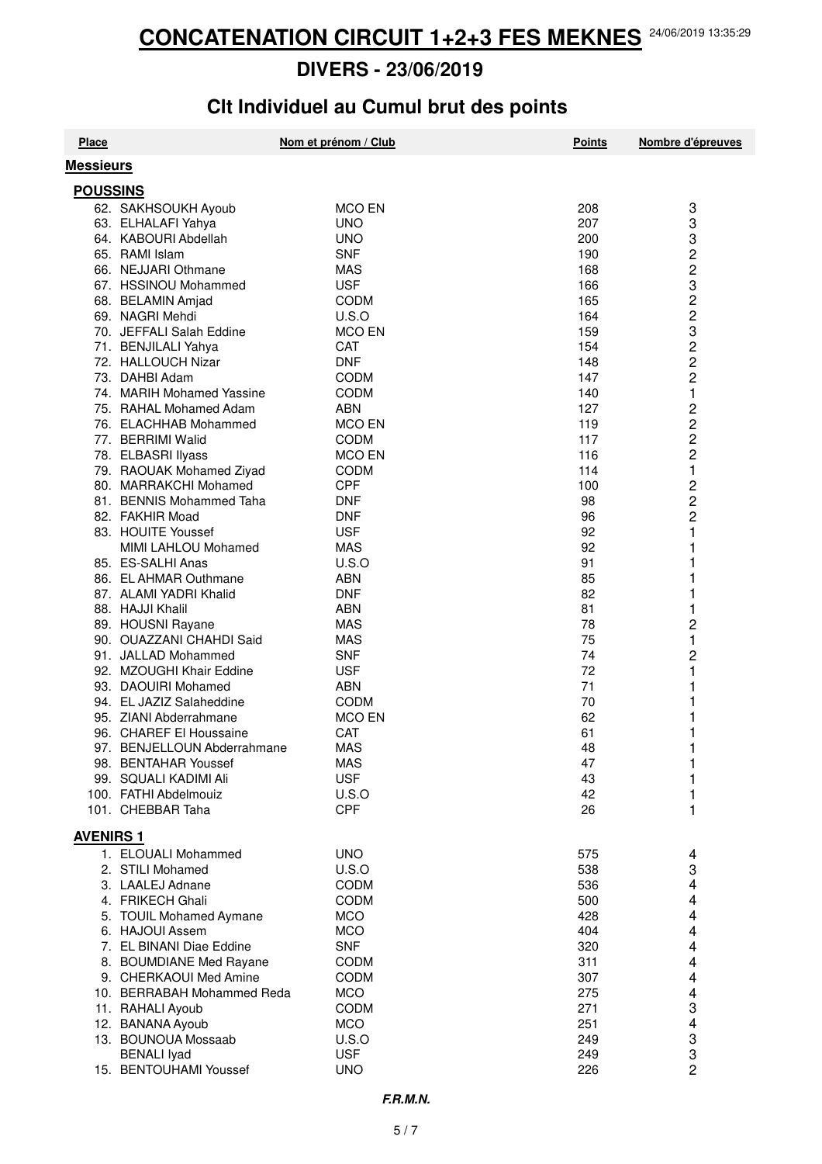# **Clt Individuel au Cumul brut des points**

| <b>Place</b>     |                                                    | Nom et prénom / Club         | <b>Points</b> | Nombre d'épreuves |
|------------------|----------------------------------------------------|------------------------------|---------------|-------------------|
| <b>Messieurs</b> |                                                    |                              |               |                   |
| <b>POUSSINS</b>  |                                                    |                              |               |                   |
|                  | 62. SAKHSOUKH Ayoub                                | <b>MCO EN</b>                | 208           | 3                 |
|                  | 63. ELHALAFI Yahya                                 | <b>UNO</b>                   | 207           | 3                 |
|                  | 64. KABOURI Abdellah                               | <b>UNO</b>                   | 200           | 3                 |
|                  | 65. RAMI Islam                                     | <b>SNF</b>                   | 190           |                   |
|                  | 66. NEJJARI Othmane                                | <b>MAS</b>                   | 168           | $\frac{2}{2}$     |
|                  | 67. HSSINOU Mohammed                               | <b>USF</b>                   | 166           | 3                 |
|                  | 68. BELAMIN Amjad                                  | <b>CODM</b>                  | 165           |                   |
|                  | 69. NAGRI Mehdi                                    | U.S.O                        | 164           | 2<br>2            |
|                  | 70. JEFFALI Salah Eddine                           | <b>MCO EN</b>                | 159           | 3                 |
|                  | 71. BENJILALI Yahya                                | <b>CAT</b>                   | 154           | $\overline{c}$    |
|                  | 72. HALLOUCH Nizar                                 | <b>DNF</b>                   | 148           | 2                 |
|                  | 73. DAHBI Adam                                     | <b>CODM</b>                  | 147           | $\overline{c}$    |
|                  | 74. MARIH Mohamed Yassine                          | <b>CODM</b>                  | 140           | 1                 |
|                  | 75. RAHAL Mohamed Adam                             | <b>ABN</b>                   | 127           | 2                 |
|                  | 76. ELACHHAB Mohammed                              | <b>MCO EN</b>                | 119           | 2                 |
|                  | 77. BERRIMI Walid                                  | <b>CODM</b>                  | 117           | 2                 |
|                  | 78. ELBASRI Ilyass                                 | <b>MCO EN</b>                | 116           | 2                 |
|                  | 79. RAOUAK Mohamed Ziyad                           | <b>CODM</b>                  | 114           | 1                 |
|                  | 80. MARRAKCHI Mohamed                              | <b>CPF</b>                   | 100           | 2                 |
|                  | 81. BENNIS Mohammed Taha                           | <b>DNF</b>                   | 98            | 2                 |
|                  | 82. FAKHIR Moad                                    | <b>DNF</b>                   | 96            | 2                 |
|                  | 83. HOUITE Youssef                                 | <b>USF</b>                   | 92            | 1                 |
|                  | MIMI LAHLOU Mohamed                                | <b>MAS</b>                   | 92            | 1                 |
|                  | 85. ES-SALHI Anas                                  | U.S.O                        | 91            | 1                 |
|                  | 86. EL AHMAR Outhmane                              | <b>ABN</b>                   | 85            | 1                 |
|                  | 87. ALAMI YADRI Khalid                             | <b>DNF</b>                   | 82            | 1                 |
|                  | 88. HAJJI Khalil                                   | <b>ABN</b>                   | 81            | 1                 |
|                  | 89. HOUSNI Rayane                                  | <b>MAS</b>                   | 78            | 2                 |
|                  | 90. OUAZZANI CHAHDI Said                           | MAS                          | 75            | 1                 |
|                  | 91. JALLAD Mohammed                                | <b>SNF</b>                   | 74            | $\overline{c}$    |
|                  | 92. MZOUGHI Khair Eddine                           | <b>USF</b>                   | 72            | 1                 |
|                  | 93. DAOUIRI Mohamed                                | <b>ABN</b>                   | 71<br>70      |                   |
|                  | 94. EL JAZIZ Salaheddine<br>95. ZIANI Abderrahmane | <b>CODM</b><br><b>MCO EN</b> | 62            |                   |
|                  | 96. CHAREF El Houssaine                            | <b>CAT</b>                   | 61            |                   |
|                  | 97. BENJELLOUN Abderrahmane                        | <b>MAS</b>                   | 48            |                   |
|                  | 98. BENTAHAR Youssef                               | <b>MAS</b>                   | 47            |                   |
|                  | 99. SQUALI KADIMI Ali                              | <b>USF</b>                   | 43            |                   |
|                  | 100. FATHI Abdelmouiz                              | U.S.O                        | 42            |                   |
|                  | 101. CHEBBAR Taha                                  | <b>CPF</b>                   | 26            | 1                 |
|                  |                                                    |                              |               |                   |
| <b>AVENIRS 1</b> |                                                    |                              |               |                   |
|                  | 1. ELOUALI Mohammed                                | <b>UNO</b>                   | 575           | 4                 |
|                  | 2. STILI Mohamed                                   | U.S.O                        | 538           | 3                 |
|                  | 3. LAALEJ Adnane                                   | CODM                         | 536           | 4                 |
|                  | 4. FRIKECH Ghali                                   | <b>CODM</b>                  | 500           | 4                 |
|                  | 5. TOUIL Mohamed Aymane                            | <b>MCO</b>                   | 428           | 4                 |
|                  | 6. HAJOUI Assem<br>7. EL BINANI Diae Eddine        | <b>MCO</b><br><b>SNF</b>     | 404<br>320    | 4                 |
|                  | 8. BOUMDIANE Med Rayane                            | <b>CODM</b>                  | 311           | 4                 |
|                  | 9. CHERKAOUI Med Amine                             | CODM                         | 307           | 4<br>4            |
|                  | 10. BERRABAH Mohammed Reda                         | <b>MCO</b>                   | 275           | 4                 |
|                  | 11. RAHALI Ayoub                                   | CODM                         | 271           | 3                 |
|                  | 12. BANANA Ayoub                                   | <b>MCO</b>                   | 251           | 4                 |
|                  | 13. BOUNOUA Mossaab                                | U.S.O                        | 249           | 3                 |
|                  | <b>BENALI</b> Iyad                                 | <b>USF</b>                   | 249           | 3                 |
|                  | 15. BENTOUHAMI Youssef                             | <b>UNO</b>                   | 226           | $\overline{c}$    |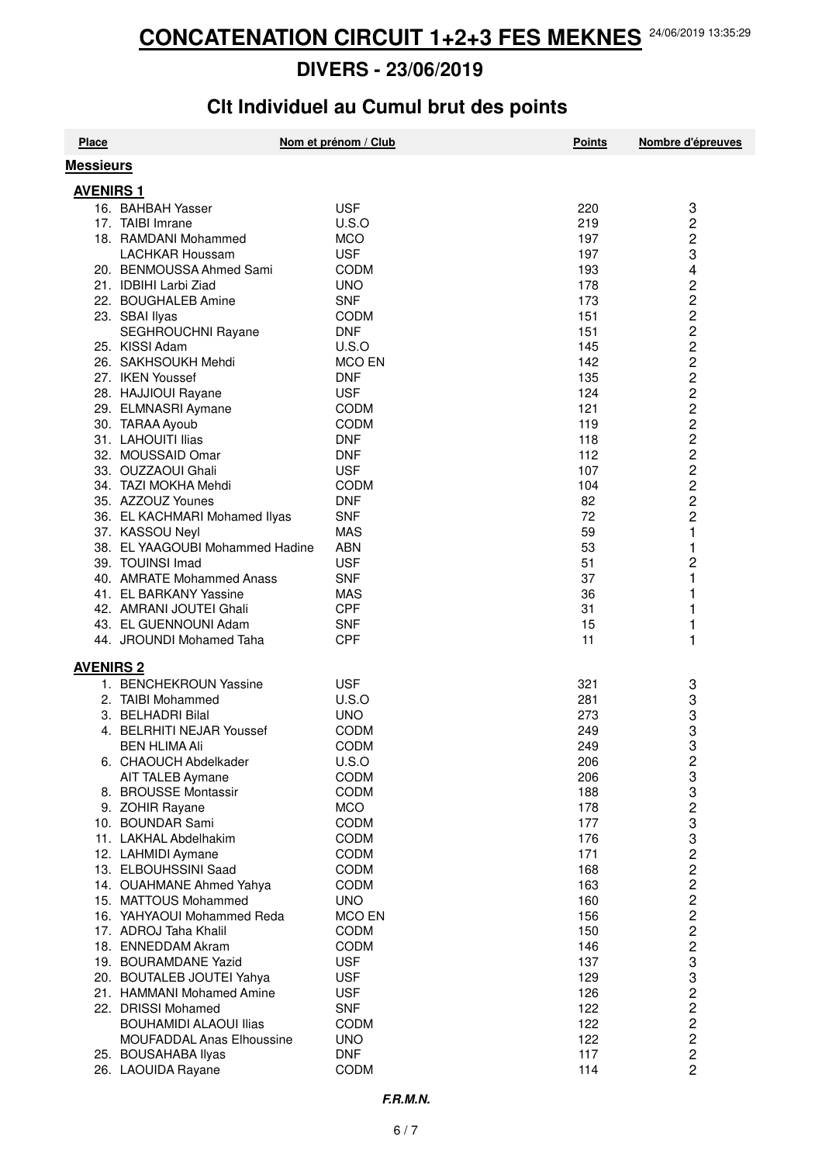# **Clt Individuel au Cumul brut des points**

| <b>Place</b>     |                                                | Nom et prénom / Club      | <b>Points</b> | Nombre d'épreuves       |
|------------------|------------------------------------------------|---------------------------|---------------|-------------------------|
| <b>Messieurs</b> |                                                |                           |               |                         |
| <b>AVENIRS 1</b> |                                                |                           |               |                         |
|                  | 16. BAHBAH Yasser                              | <b>USF</b>                | 220           | 3                       |
|                  | 17. TAIBI Imrane                               | U.S.O                     | 219           | 2                       |
|                  | 18. RAMDANI Mohammed                           | <b>MCO</b>                | 197           | $\overline{\mathbf{c}}$ |
|                  | <b>LACHKAR Houssam</b>                         | <b>USF</b>                | 197           | 3                       |
|                  | 20. BENMOUSSA Ahmed Sami                       | <b>CODM</b>               | 193           | 4                       |
|                  | 21. IDBIHI Larbi Ziad                          | <b>UNO</b>                | 178           |                         |
|                  | 22. BOUGHALEB Amine                            | <b>SNF</b>                | 173           |                         |
|                  | 23. SBAI Ilyas                                 | <b>CODM</b>               | 151           | 2<br>2<br>2<br>2        |
|                  | SEGHROUCHNI Rayane                             | <b>DNF</b>                | 151           |                         |
|                  | 25. KISSI Adam                                 | U.S.O                     | 145           | $\overline{\mathbf{c}}$ |
|                  | 26. SAKHSOUKH Mehdi                            | <b>MCO EN</b>             | 142           | $\overline{c}$          |
|                  | 27. IKEN Youssef                               | <b>DNF</b>                | 135           | $\overline{\mathbf{c}}$ |
|                  | 28. HAJJIOUI Rayane                            | <b>USF</b>                | 124           | 2                       |
|                  | 29. ELMNASRI Aymane                            | <b>CODM</b>               | 121           | 2                       |
|                  | 30. TARAA Ayoub                                | <b>CODM</b>               | 119           | $\overline{c}$          |
|                  | 31. LAHOUITI Ilias                             | <b>DNF</b>                | 118           | $\overline{c}$          |
|                  | 32. MOUSSAID Omar                              | <b>DNF</b>                | 112           | 2                       |
|                  | 33. OUZZAOUI Ghali                             | <b>USF</b>                | 107           | $\overline{c}$          |
|                  | 34. TAZI MOKHA Mehdi                           | <b>CODM</b>               | 104           | $\overline{c}$          |
|                  | 35. AZZOUZ Younes                              | <b>DNF</b>                | 82            | 2                       |
|                  | 36. EL KACHMARI Mohamed Ilyas                  | <b>SNF</b>                | 72            | $\overline{c}$          |
|                  | 37. KASSOU Neyl                                | <b>MAS</b>                | 59            | 1                       |
|                  | 38. EL YAAGOUBI Mohammed Hadine                | <b>ABN</b>                | 53            | 1                       |
|                  | 39. TOUINSI Imad                               | <b>USF</b>                | 51            | 2                       |
|                  | 40. AMRATE Mohammed Anass                      | <b>SNF</b>                | 37            | 1                       |
|                  | 41. EL BARKANY Yassine                         | <b>MAS</b>                | 36            | 1                       |
|                  | 42. AMRANI JOUTEI Ghali                        | <b>CPF</b>                | 31            | 1                       |
|                  | 43. EL GUENNOUNI Adam                          | <b>SNF</b>                | 15            | 1                       |
|                  | 44. JROUNDI Mohamed Taha                       | <b>CPF</b>                | 11            | 1                       |
|                  |                                                |                           |               |                         |
| <b>AVENIRS 2</b> | 1. BENCHEKROUN Yassine                         |                           |               |                         |
|                  |                                                | <b>USF</b>                | 321           | 3                       |
|                  | 2. TAIBI Mohammed                              | U.S.O                     | 281           | 3                       |
|                  | 3. BELHADRI Bilal<br>4. BELRHITI NEJAR Youssef | <b>UNO</b><br><b>CODM</b> | 273<br>249    | ვ<br>ვ                  |
|                  |                                                | <b>CODM</b>               | 249           | 3                       |
|                  | <b>BEN HLIMA Ali</b><br>6. CHAOUCH Abdelkader  | U.S.O                     | 206           |                         |
|                  | AIT TALEB Aymane                               | CODM                      | 206           | 2<br>3                  |
|                  | 8. BROUSSE Montassir                           | <b>CODM</b>               | 188           | 3                       |
|                  | 9. ZOHIR Rayane                                | <b>MCO</b>                | 178           | $\overline{\mathbf{c}}$ |
|                  | 10. BOUNDAR Sami                               | CODM                      | 177           |                         |
|                  | 11. LAKHAL Abdelhakim                          | <b>CODM</b>               | 176           |                         |
|                  | 12. LAHMIDI Aymane                             | <b>CODM</b>               | 171           |                         |
|                  | 13. ELBOUHSSINI Saad                           | <b>CODM</b>               | 168           |                         |
|                  | 14. OUAHMANE Ahmed Yahya                       | CODM                      | 163           |                         |
|                  | 15. MATTOUS Mohammed                           | <b>UNO</b>                | 160           |                         |
|                  | 16. YAHYAOUI Mohammed Reda                     | <b>MCO EN</b>             | 156           |                         |
|                  | 17. ADROJ Taha Khalil                          | <b>CODM</b>               | 150           |                         |
|                  | 18. ENNEDDAM Akram                             | <b>CODM</b>               | 146           |                         |
|                  | 19. BOURAMDANE Yazid                           | <b>USF</b>                | 137           |                         |
|                  | 20. BOUTALEB JOUTEI Yahya                      | <b>USF</b>                | 129           |                         |
|                  | 21. HAMMANI Mohamed Amine                      | <b>USF</b>                | 126           |                         |
|                  | 22. DRISSI Mohamed                             | <b>SNF</b>                | 122           |                         |
|                  | <b>BOUHAMIDI ALAOUI Ilias</b>                  | CODM                      | 122           |                         |
|                  | <b>MOUFADDAL Anas Elhoussine</b>               | <b>UNO</b>                | 122           | 3322222332222222        |
|                  | 25. BOUSAHABA Ilyas                            | <b>DNF</b>                | 117           |                         |
|                  | 26. LAOUIDA Rayane                             | <b>CODM</b>               | 114           |                         |